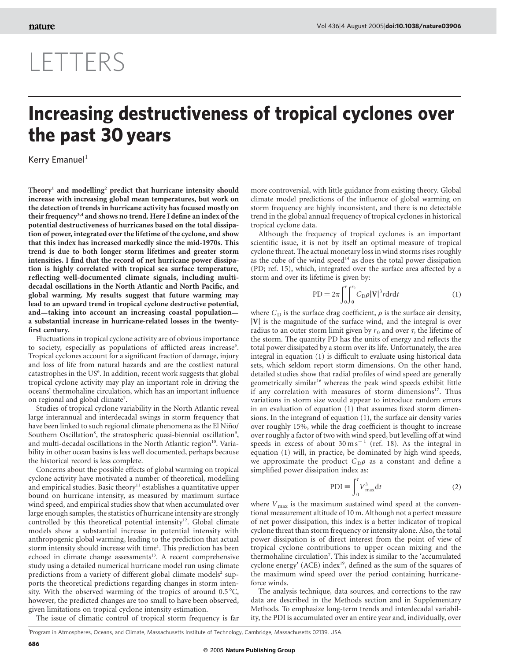## LETTERS

## Increasing destructiveness of tropical cyclones over the past 30 years

Kerry Emanuel $<sup>1</sup>$ </sup>

Theory<sup>1</sup> and modelling<sup>2</sup> predict that hurricane intensity should increase with increasing global mean temperatures, but work on the detection of trends in hurricane activity has focused mostly on their frequency<sup>3,4</sup> and shows no trend. Here I define an index of the potential destructiveness of hurricanes based on the total dissipation of power, integrated over the lifetime of the cyclone, and show that this index has increased markedly since the mid-1970s. This trend is due to both longer storm lifetimes and greater storm intensities. I find that the record of net hurricane power dissipation is highly correlated with tropical sea surface temperature, reflecting well-documented climate signals, including multidecadal oscillations in the North Atlantic and North Pacific, and global warming. My results suggest that future warming may lead to an upward trend in tropical cyclone destructive potential, and—taking into account an increasing coastal population a substantial increase in hurricane-related losses in the twentyfirst century.

Fluctuations in tropical cyclone activity are of obvious importance to society, especially as populations of afflicted areas increase<sup>5</sup>. Tropical cyclones account for a significant fraction of damage, injury and loss of life from natural hazards and are the costliest natural catastrophes in the US<sup>6</sup>. In addition, recent work suggests that global tropical cyclone activity may play an important role in driving the oceans' thermohaline circulation, which has an important influence on regional and global climate<sup>7</sup>.

Studies of tropical cyclone variability in the North Atlantic reveal large interannual and interdecadal swings in storm frequency that have been linked to such regional climate phenomena as the El Niño/ Southern Oscillation<sup>8</sup>, the stratospheric quasi-biennial oscillation<sup>9</sup>, and multi-decadal oscillations in the North Atlantic region<sup>10</sup>. Variability in other ocean basins is less well documented, perhaps because the historical record is less complete.

Concerns about the possible effects of global warming on tropical cyclone activity have motivated a number of theoretical, modelling and empirical studies. Basic theory<sup>11</sup> establishes a quantitative upper bound on hurricane intensity, as measured by maximum surface wind speed, and empirical studies show that when accumulated over large enough samples, the statistics of hurricane intensity are strongly controlled by this theoretical potential intensity<sup>12</sup>. Global climate models show a substantial increase in potential intensity with anthropogenic global warming, leading to the prediction that actual storm intensity should increase with time<sup>1</sup>. This prediction has been echoed in climate change assessments<sup>13</sup>. A recent comprehensive study using a detailed numerical hurricane model run using climate predictions from a variety of different global climate models<sup>2</sup> supports the theoretical predictions regarding changes in storm intensity. With the observed warming of the tropics of around  $0.5\,^{\circ}\text{C}$ , however, the predicted changes are too small to have been observed, given limitations on tropical cyclone intensity estimation.

The issue of climatic control of tropical storm frequency is far

more controversial, with little guidance from existing theory. Global climate model predictions of the influence of global warming on storm frequency are highly inconsistent, and there is no detectable trend in the global annual frequency of tropical cyclones in historical tropical cyclone data.

Although the frequency of tropical cyclones is an important scientific issue, it is not by itself an optimal measure of tropical cyclone threat. The actual monetary loss in wind storms rises roughly as the cube of the wind speed<sup>14</sup> as does the total power dissipation (PD; ref. 15), which, integrated over the surface area affected by a storm and over its lifetime is given by:

$$
PD = 2\pi \int_0^{\tau} \int_0^{r_0} C_D \rho |\mathbf{V}|^3 r dr dt \tag{1}
$$

where  $C_D$  is the surface drag coefficient,  $\rho$  is the surface air density,  $|V|$  is the magnitude of the surface wind, and the integral is over radius to an outer storm limit given by  $r_0$  and over  $\tau$ , the lifetime of the storm. The quantity PD has the units of energy and reflects the total power dissipated by a storm over its life. Unfortunately, the area integral in equation (1) is difficult to evaluate using historical data sets, which seldom report storm dimensions. On the other hand, detailed studies show that radial profiles of wind speed are generally geometrically similar<sup>16</sup> whereas the peak wind speeds exhibit little if any correlation with measures of storm dimensions<sup>17</sup>. Thus variations in storm size would appear to introduce random errors in an evaluation of equation (1) that assumes fixed storm dimensions. In the integrand of equation (1), the surface air density varies over roughly 15%, while the drag coefficient is thought to increase over roughly a factor of two with wind speed, but levelling off at wind speeds in excess of about  $30 \text{ m s}^{-1}$  (ref. 18). As the integral in equation (1) will, in practice, be dominated by high wind speeds, we approximate the product  $C_{D}\rho$  as a constant and define a simplified power dissipation index as:

$$
PDI \equiv \int_{0}^{\tau} V_{\text{max}}^{3} dt
$$
 (2)

where  $V_{\text{max}}$  is the maximum sustained wind speed at the conventional measurement altitude of 10 m. Although not a perfect measure of net power dissipation, this index is a better indicator of tropical cyclone threat than storm frequency or intensity alone. Also, the total power dissipation is of direct interest from the point of view of tropical cyclone contributions to upper ocean mixing and the thermohaline circulation<sup>7</sup> . This index is similar to the 'accumulated cyclone energy' (ACE) index<sup>19</sup>, defined as the sum of the squares of the maximum wind speed over the period containing hurricaneforce winds.

The analysis technique, data sources, and corrections to the raw data are described in the Methods section and in Supplementary Methods. To emphasize long-term trends and interdecadal variability, the PDI is accumulated over an entire year and, individually, over

<sup>&</sup>lt;sup>1</sup>Program in Atmospheres, Oceans, and Climate, Massachusetts Institute of Technology, Cambridge, Massachusetts 02139, USA.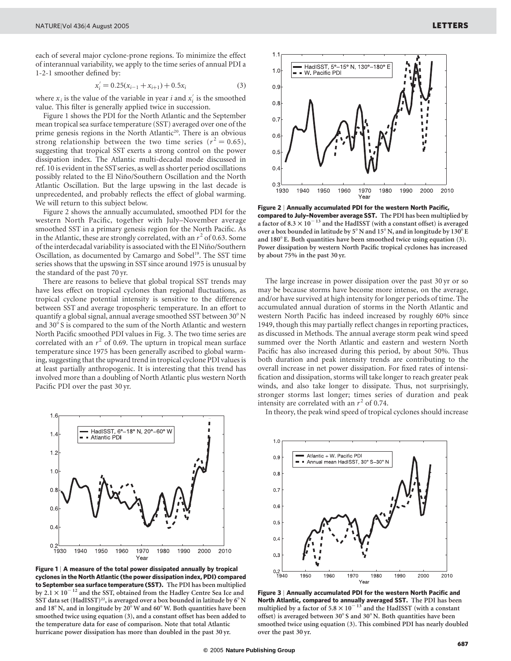each of several major cyclone-prone regions. To minimize the effect of interannual variability, we apply to the time series of annual PDI a 1-2-1 smoother defined by:

$$
x'_{i} = 0.25(x_{i-1} + x_{i+1}) + 0.5x_{i}
$$
 (3)

where  $x_i$  is the value of the variable in year i and  $x'_i$  is the smoothed value. This filter is generally applied twice in succession.

Figure 1 shows the PDI for the North Atlantic and the September mean tropical sea surface temperature (SST) averaged over one of the prime genesis regions in the North Atlantic<sup>20</sup>. There is an obvious strong relationship between the two time series ( $r^2 = 0.65$ ), suggesting that tropical SST exerts a strong control on the power dissipation index. The Atlantic multi-decadal mode discussed in ref. 10 is evident in the SSTseries, as well as shorter period oscillations possibly related to the El Niño/Southern Oscillation and the North Atlantic Oscillation. But the large upswing in the last decade is unprecedented, and probably reflects the effect of global warming. We will return to this subject below.

Figure 2 shows the annually accumulated, smoothed PDI for the western North Pacific, together with July–November average smoothed SST in a primary genesis region for the North Pacific. As in the Atlantic, these are strongly correlated, with an  $r^2$  of 0.63. Some of the interdecadal variability is associated with the El Niño/Southern Oscillation, as documented by Camargo and Sobel<sup>19</sup>. The SST time series shows that the upswing in SST since around 1975 is unusual by the standard of the past 70 yr.

There are reasons to believe that global tropical SST trends may have less effect on tropical cyclones than regional fluctuations, as tropical cyclone potential intensity is sensitive to the difference between SST and average tropospheric temperature. In an effort to quantify a global signal, annual average smoothed SST between 30° N and  $30^{\circ}$  S is compared to the sum of the North Atlantic and western North Pacific smoothed PDI values in Fig. 3. The two time series are correlated with an  $r^2$  of 0.69. The upturn in tropical mean surface temperature since 1975 has been generally ascribed to global warming, suggesting that the upward trend in tropical cyclone PDI values is at least partially anthropogenic. It is interesting that this trend has involved more than a doubling of North Atlantic plus western North Pacific PDI over the past 30 yr.



Figure 1 | A measure of the total power dissipated annually by tropical cyclones in the North Atlantic (the power dissipation index, PDI) compared to September sea surface temperature (SST). The PDI has been multiplied by 2.1  $\times$  10  $^{-12}$  and the SST, obtained from the Hadley Centre Sea Ice and SST data set (HadISST)<sup>22</sup>, is averaged over a box bounded in latitude by  $6^{\circ}$  N and 18 $^{\circ}$  N, and in longitude by 20 $^{\circ}$  W and 60 $^{\circ}$  W. Both quantities have been smoothed twice using equation (3), and a constant offset has been added to the temperature data for ease of comparison. Note that total Atlantic hurricane power dissipation has more than doubled in the past 30 yr.



Figure 2 | Annually accumulated PDI for the western North Pacific, compared to July–November average SST. The PDI has been multiplied by a factor of 8.3  $\times$   $10^{-13}$  and the HadISST (with a constant offset) is averaged over a box bounded in latitude by  $5^{\circ}$  N and  $15^{\circ}$  N, and in longitude by 130 $^{\circ}$  E and  $180^\circ$  E. Both quantities have been smoothed twice using equation (3). Power dissipation by western North Pacific tropical cyclones has increased by about 75% in the past 30 yr.

The large increase in power dissipation over the past 30 yr or so may be because storms have become more intense, on the average, and/or have survived at high intensity for longer periods of time. The accumulated annual duration of storms in the North Atlantic and western North Pacific has indeed increased by roughly 60% since 1949, though this may partially reflect changes in reporting practices, as discussed in Methods. The annual average storm peak wind speed summed over the North Atlantic and eastern and western North Pacific has also increased during this period, by about 50%. Thus both duration and peak intensity trends are contributing to the overall increase in net power dissipation. For fixed rates of intensification and dissipation, storms will take longer to reach greater peak winds, and also take longer to dissipate. Thus, not surprisingly, stronger storms last longer; times series of duration and peak intensity are correlated with an  $r^2$  of 0.74.

In theory, the peak wind speed of tropical cyclones should increase



Figure 3 | Annually accumulated PDI for the western North Pacific and North Atlantic, compared to annually averaged SST. The PDI has been multiplied by a factor of  $5.8 \times 10^{-13}$  and the HadISST (with a constant offset) is averaged between  $30^{\circ}$  S and  $30^{\circ}$  N. Both quantities have been smoothed twice using equation (3). This combined PDI has nearly doubled over the past 30 yr.